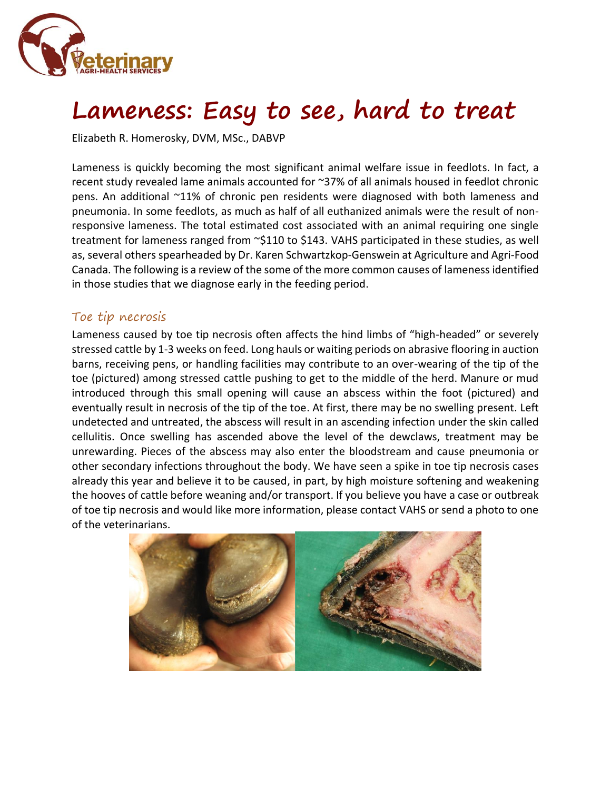

# **Lameness: Easy to see, hard to treat**

Elizabeth R. Homerosky, DVM, MSc., DABVP

Lameness is quickly becoming the most significant animal welfare issue in feedlots. In fact, a recent study revealed lame animals accounted for ~37% of all animals housed in feedlot chronic pens. An additional ~11% of chronic pen residents were diagnosed with both lameness and pneumonia. In some feedlots, as much as half of all euthanized animals were the result of nonresponsive lameness. The total estimated cost associated with an animal requiring one single treatment for lameness ranged from ~\$110 to \$143. VAHS participated in these studies, as well as, several others spearheaded by Dr. Karen Schwartzkop-Genswein at Agriculture and Agri-Food Canada. The following is a review of the some of the more common causes of lameness identified in those studies that we diagnose early in the feeding period.

#### Toe tip necrosis

Lameness caused by toe tip necrosis often affects the hind limbs of "high-headed" or severely stressed cattle by 1-3 weeks on feed. Long hauls or waiting periods on abrasive flooring in auction barns, receiving pens, or handling facilities may contribute to an over-wearing of the tip of the toe (pictured) among stressed cattle pushing to get to the middle of the herd. Manure or mud introduced through this small opening will cause an abscess within the foot (pictured) and eventually result in necrosis of the tip of the toe. At first, there may be no swelling present. Left undetected and untreated, the abscess will result in an ascending infection under the skin called cellulitis. Once swelling has ascended above the level of the dewclaws, treatment may be unrewarding. Pieces of the abscess may also enter the bloodstream and cause pneumonia or other secondary infections throughout the body. We have seen a spike in toe tip necrosis cases already this year and believe it to be caused, in part, by high moisture softening and weakening the hooves of cattle before weaning and/or transport. If you believe you have a case or outbreak of toe tip necrosis and would like more information, please contact VAHS or send a photo to one of the veterinarians.